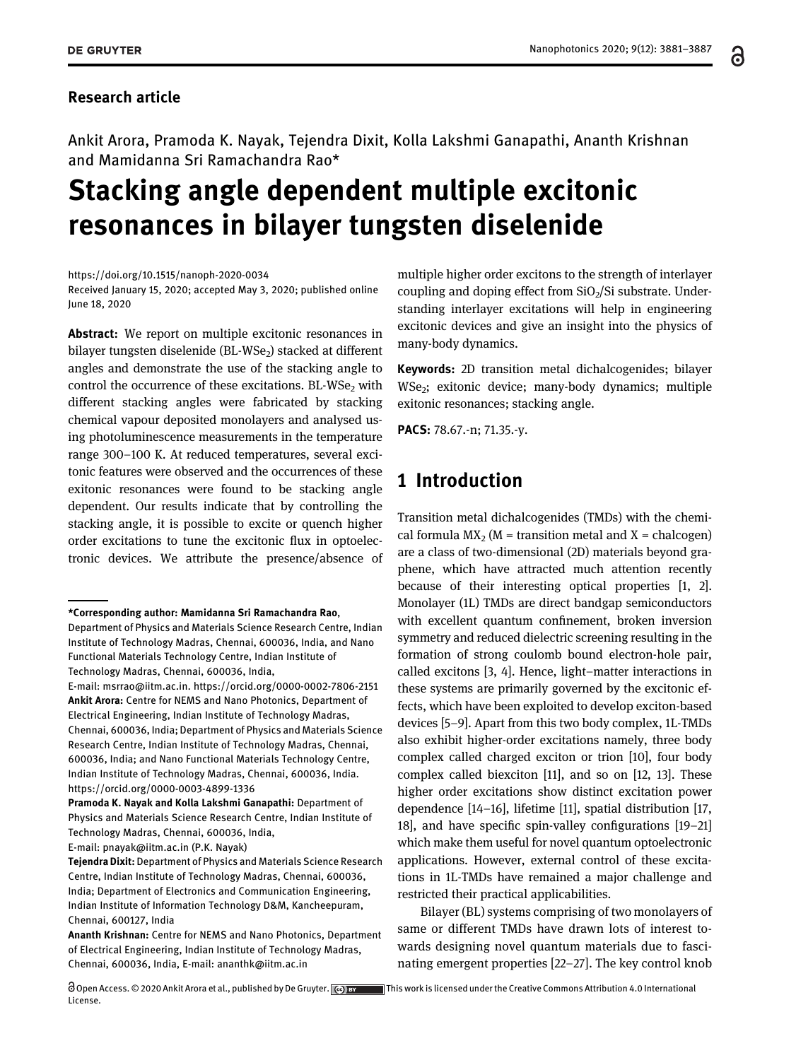#### Research article

Ankit Arora, Pramoda K. Nayak, Tejendra Dixit, Kolla Lakshmi Ganapathi, Ananth Krishnan and Mamidanna Sri Ramachandra Rao\*

# Stacking angle dependent multiple excitonic resonances in bilayer tungsten diselenide

https://doi.org/10.1515/nanoph-2020-0034

Received January 15, 2020; accepted May 3, 2020; published online June 18, 2020

Abstract: We report on multiple excitonic resonances in bilayer tungsten diselenide (BL-WSe<sub>2</sub>) stacked at different angles and demonstrate the use of the stacking angle to control the occurrence of these excitations. BL-WSe<sub>2</sub> with different stacking angles were fabricated by stacking chemical vapour deposited monolayers and analysed using photoluminescence measurements in the temperature range 300–100 K. At reduced temperatures, several excitonic features were observed and the occurrences of these exitonic resonances were found to be stacking angle dependent. Our results indicate that by controlling the stacking angle, it is possible to excite or quench higher order excitations to tune the excitonic flux in optoelectronic devices. We attribute the presence/absence of

E-mail: msrrao@iitm.ac.in. https://orcid.org/0000-0002-7806-2151 Ankit Arora: Centre for NEMS and Nano Photonics, Department of Electrical Engineering, Indian Institute of Technology Madras, Chennai, 600036, India; Department of Physics and Materials Science Research Centre, Indian Institute of Technology Madras, Chennai, 600036, India; and Nano Functional Materials Technology Centre, Indian Institute of Technology Madras, Chennai, 600036, India. https://orcid.org/0000-0003-4899-1336

Pramoda K. Nayak and Kolla Lakshmi Ganapathi: Department of Physics and Materials Science Research Centre, Indian Institute of Technology Madras, Chennai, 600036, India,

E-mail: pnayak@iitm.ac.in (P.K. Nayak)

Tejendra Dixit: Department of Physics and Materials Science Research Centre, Indian Institute of Technology Madras, Chennai, 600036, India; Department of Electronics and Communication Engineering, Indian Institute of Information Technology D&M, Kancheepuram, Chennai, 600127, India

Ananth Krishnan: Centre for NEMS and Nano Photonics, Department of Electrical Engineering, Indian Institute of Technology Madras, Chennai, 600036, India, E-mail: ananthk@iitm.ac.in

multiple higher order excitons to the strength of interlayer coupling and doping effect from  $SiO<sub>2</sub>/Si$  substrate. Understanding interlayer excitations will help in engineering excitonic devices and give an insight into the physics of many-body dynamics.

Keywords: 2D transition metal dichalcogenides; bilayer WSe<sub>2</sub>; exitonic device; many-body dynamics; multiple exitonic resonances; stacking angle.

PACS: 78.67.-n; 71.35.-y.

## 1 Introduction

Transition metal dichalcogenides (TMDs) with the chemical formula  $MX_2$  (M = transition metal and X = chalcogen) are a class of two-dimensional (2D) materials beyond graphene, which have attracted much attention recently because of their interesting optical properties [1, 2]. Monolayer (1L) TMDs are direct bandgap semiconductors with excellent quantum confinement, broken inversion symmetry and reduced dielectric screening resulting in the formation of strong coulomb bound electron-hole pair, called excitons [3, 4]. Hence, light–matter interactions in these systems are primarily governed by the excitonic effects, which have been exploited to develop exciton-based devices [5–9]. Apart from this two body complex, 1L-TMDs also exhibit higher-order excitations namely, three body complex called charged exciton or trion [10], four body complex called biexciton [11], and so on [12, 13]. These higher order excitations show distinct excitation power dependence [14–16], lifetime [11], spatial distribution [17, 18], and have specific spin-valley configurations [19–21] which make them useful for novel quantum optoelectronic applications. However, external control of these excitations in 1L-TMDs have remained a major challenge and restricted their practical applicabilities.

Bilayer (BL) systems comprising of two monolayers of same or different TMDs have drawn lots of interest towards designing novel quantum materials due to fascinating emergent properties [22–27]. The key control knob

႕

<sup>\*</sup>Corresponding author: Mamidanna Sri Ramachandra Rao,

Department of Physics and Materials Science Research Centre, Indian Institute of Technology Madras, Chennai, 600036, India, and Nano Functional Materials Technology Centre, Indian Institute of Technology Madras, Chennai, 600036, India,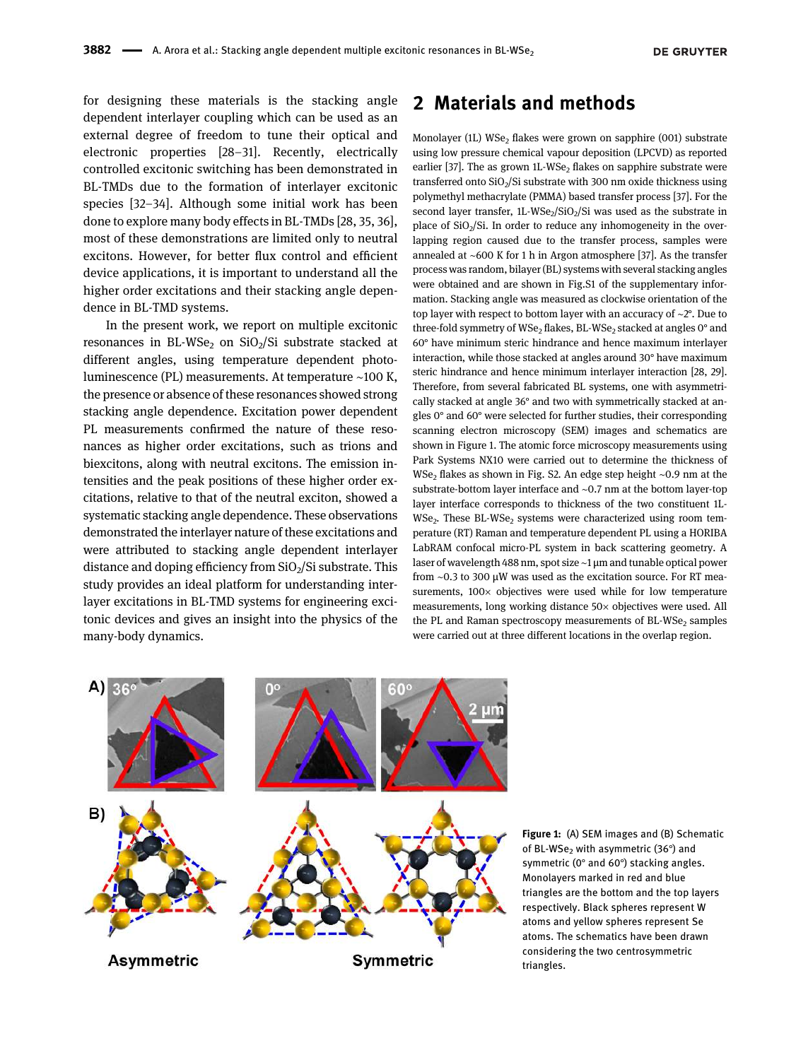for designing these materials is the stacking angle dependent interlayer coupling which can be used as an external degree of freedom to tune their optical and electronic properties [28–31]. Recently, electrically controlled excitonic switching has been demonstrated in BL-TMDs due to the formation of interlayer excitonic species [32–34]. Although some initial work has been done to explore many body effects in BL-TMDs [28, 35, 36], most of these demonstrations are limited only to neutral excitons. However, for better flux control and efficient device applications, it is important to understand all the higher order excitations and their stacking angle dependence in BL-TMD systems.

In the present work, we report on multiple excitonic resonances in BL-WSe<sub>2</sub> on SiO<sub>2</sub>/Si substrate stacked at different angles, using temperature dependent photoluminescence (PL) measurements. At temperature ∼100 K, the presence or absence of these resonances showed strong stacking angle dependence. Excitation power dependent PL measurements confirmed the nature of these resonances as higher order excitations, such as trions and biexcitons, along with neutral excitons. The emission intensities and the peak positions of these higher order excitations, relative to that of the neutral exciton, showed a systematic stacking angle dependence. These observations demonstrated the interlayer nature of these excitations and were attributed to stacking angle dependent interlayer distance and doping efficiency from  $SiO<sub>2</sub>/Si$  substrate. This study provides an ideal platform for understanding interlayer excitations in BL-TMD systems for engineering excitonic devices and gives an insight into the physics of the many-body dynamics.

### 2 Materials and methods

Monolayer (1L) WSe<sub>2</sub> flakes were grown on sapphire  $(001)$  substrate using low pressure chemical vapour deposition (LPCVD) as reported earlier [37]. The as grown  $1L$ -WSe<sub>2</sub> flakes on sapphire substrate were transferred onto  $SiO<sub>2</sub>/Si$  substrate with 300 nm oxide thickness using polymethyl methacrylate (PMMA) based transfer process [37]. For the second layer transfer,  $1L$ -WSe<sub>2</sub>/SiO<sub>2</sub>/Si was used as the substrate in place of  $SiO<sub>2</sub>/Si$ . In order to reduce any inhomogeneity in the overlapping region caused due to the transfer process, samples were annealed at ∼600 K for 1 h in Argon atmosphere [37]. As the transfer process was random, bilayer (BL) systems with several stacking angles were obtained and are shown in Fig.S1 of the supplementary information. Stacking angle was measured as clockwise orientation of the top layer with respect to bottom layer with an accuracy of ∼2°. Due to three-fold symmetry of WSe<sub>2</sub> flakes, BL-WSe<sub>2</sub> stacked at angles  $0^{\circ}$  and 60° have minimum steric hindrance and hence maximum interlayer interaction, while those stacked at angles around 30° have maximum steric hindrance and hence minimum interlayer interaction [28, 29]. Therefore, from several fabricated BL systems, one with asymmetrically stacked at angle 36° and two with symmetrically stacked at angles 0° and 60° were selected for further studies, their corresponding scanning electron microscopy (SEM) images and schematics are shown in Figure 1. The atomic force microscopy measurements using Park Systems NX10 were carried out to determine the thickness of WSe<sub>2</sub> flakes as shown in Fig. S2. An edge step height ~0.9 nm at the substrate-bottom layer interface and ∼0.7 nm at the bottom layer-top layer interface corresponds to thickness of the two constituent 1L- $WSe<sub>2</sub>$ . These BL-WS $e<sub>2</sub>$  systems were characterized using room temperature (RT) Raman and temperature dependent PL using a HORIBA LabRAM confocal micro-PL system in back scattering geometry. A laser of wavelength 488 nm, spot size ∼1 μm and tunable optical power from ∼0.3 to 300 μW was used as the excitation source. For RT measurements,  $100 \times$  objectives were used while for low temperature measurements, long working distance 50× objectives were used. All the PL and Raman spectroscopy measurements of BL-WSe<sub>2</sub> samples were carried out at three different locations in the overlap region.



Figure 1: (A) SEM images and (B) Schematic of BL-WSe<sub>2</sub> with asymmetric (36 $\degree$ ) and symmetric (0° and 60°) stacking angles. Monolayers marked in red and blue triangles are the bottom and the top layers respectively. Black spheres represent W atoms and yellow spheres represent Se atoms. The schematics have been drawn considering the two centrosymmetric triangles.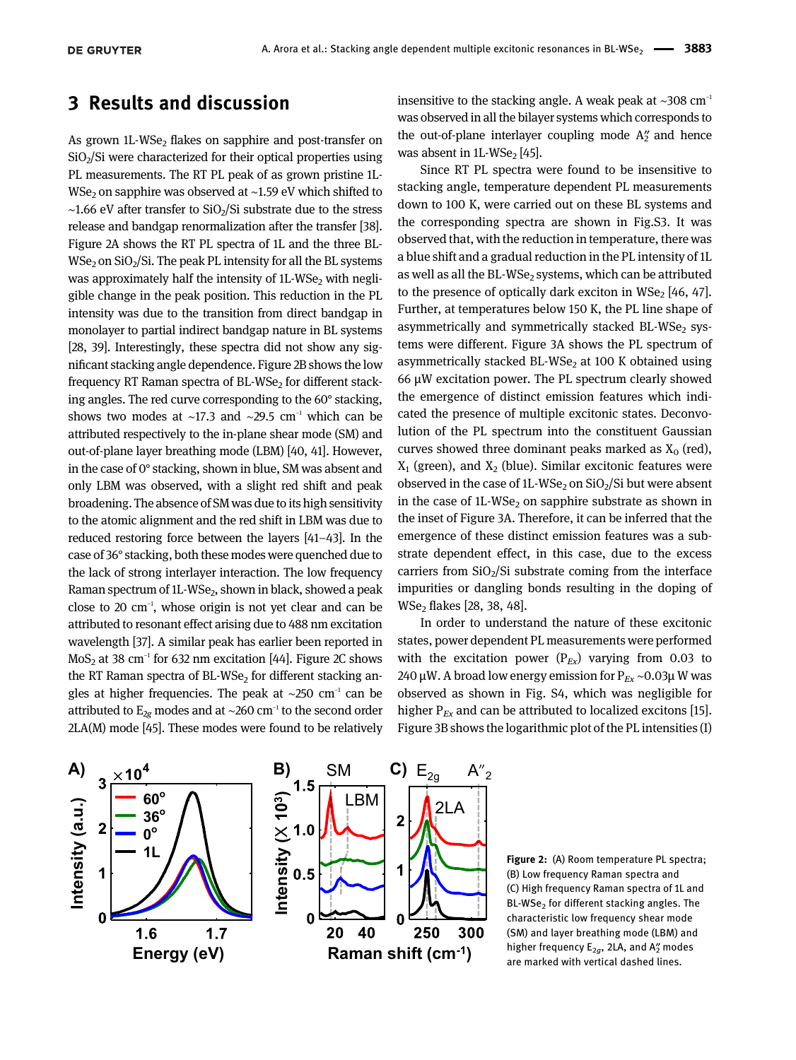#### 3 Results and discussion

As grown  $1L$ -WS $e_2$  flakes on sapphire and post-transfer on  $SiO<sub>2</sub>/Si$  were characterized for their optical properties using PL measurements. The RT PL peak of as grown pristine 1L-WSe<sub>2</sub> on sapphire was observed at ~1.59 eV which shifted to  $~\sim$ 1.66 eV after transfer to SiO<sub>2</sub>/Si substrate due to the stress release and bandgap renormalization after the transfer [38]. Figure 2A shows the RT PL spectra of 1L and the three BL- $WSe<sub>2</sub>$  on  $SiO<sub>2</sub>/Si$ . The peak PL intensity for all the BL systems was approximately half the intensity of  $1L$ -WSe<sub>2</sub> with negligible change in the peak position. This reduction in the PL intensity was due to the transition from direct bandgap in monolayer to partial indirect bandgap nature in BL systems [28, 39]. Interestingly, these spectra did not show any significant stacking angle dependence. Figure 2B shows the low frequency RT Raman spectra of  $BL\text{-}WSe_2$  for different stacking angles. The red curve corresponding to the 60° stacking, shows two modes at ~17.3 and ~29.5 cm<sup>-1</sup> which can be attributed respectively to the in-plane shear mode (SM) and out-of-plane layer breathing mode (LBM) [40, 41]. However, in the case of 0° stacking, shown in blue, SM was absent and only LBM was observed, with a slight red shift and peak broadening. The absence of SM was due to its high sensitivity to the atomic alignment and the red shift in LBM was due to reduced restoring force between the layers [41–43]. In the case of 36° stacking, both these modes were quenched due to the lack of strong interlayer interaction. The low frequency Raman spectrum of 1L-WSe<sub>2</sub>, shown in black, showed a peak close to 20 cm<sup>−</sup><sup>1</sup> , whose origin is not yet clear and can be attributed to resonant effect arising due to 488 nm excitation wavelength [37]. A similar peak has earlier been reported in MoS<sub>2</sub> at 38 cm<sup>-1</sup> for 632 nm excitation [44]. Figure 2C shows the RT Raman spectra of  $BL\text{-}WSe_2$  for different stacking angles at higher frequencies. The peak at ~250 cm<sup>-1</sup> can be attributed to  $E_{2g}$  modes and at ~260 cm<sup>-1</sup> to the second order 2LA(M) mode [45]. These modes were found to be relatively insensitive to the stacking angle. A weak peak at ~308 cm<sup>-1</sup> was observed in all the bilayer systems which corresponds to the out-of-plane interlayer coupling mode  $A''_2$  and hence was absent in 1L-WSe $_2$  [45].

Since RT PL spectra were found to be insensitive to stacking angle, temperature dependent PL measurements down to 100 K, were carried out on these BL systems and the corresponding spectra are shown in Fig.S3. It was observed that, with the reduction in temperature, there was a blue shift and a gradual reduction in the PL intensity of 1L as well as all the BL-WSe<sub>2</sub> systems, which can be attributed to the presence of optically dark exciton in  $WSe<sub>2</sub>$  [46, 47]. Further, at temperatures below 150 K, the PL line shape of asymmetrically and symmetrically stacked BL-WSe<sub>2</sub> systems were different. Figure 3A shows the PL spectrum of asymmetrically stacked BL-WSe $_2$  at 100 K obtained using 66 μW excitation power. The PL spectrum clearly showed the emergence of distinct emission features which indicated the presence of multiple excitonic states. Deconvolution of the PL spectrum into the constituent Gaussian curves showed three dominant peaks marked as  $X_0$  (red),  $\mathrm{X}_1$  (green), and  $\mathrm{X}_2$  (blue). Similar excitonic features were observed in the case of 1L-WSe<sub>2</sub> on  $SiO<sub>2</sub>/Si$  but were absent in the case of  $1L$ -WSe<sub>2</sub> on sapphire substrate as shown in the inset of Figure 3A. Therefore, it can be inferred that the emergence of these distinct emission features was a substrate dependent effect, in this case, due to the excess carriers from  $SiO<sub>2</sub>/Si$  substrate coming from the interface impurities or dangling bonds resulting in the doping of  $WSe<sub>2</sub>$  flakes [28, 38, 48].

In order to understand the nature of these excitonic states, power dependent PL measurements were performed with the excitation power  $(P_{Ex})$  varying from 0.03 to 240 μW. A broad low energy emission for  $P_{Ex}$  ~0.03μ W was observed as shown in Fig. S4, which was negligible for higher  $P_{Ex}$  and can be attributed to localized excitons [15]. Figure 3B shows the logarithmic plot of the PL intensities (I)



Figure 2: (A) Room temperature PL spectra; (B) Low frequency Raman spectra and (C) High frequency Raman spectra of 1L and BL-WSe<sub>2</sub> for different stacking angles. The characteristic low frequency shear mode (SM) and layer breathing mode (LBM) and higher frequency E<sub>2g</sub>, 2LA, and A<sup>y</sup> modes are marked with vertical dashed lines.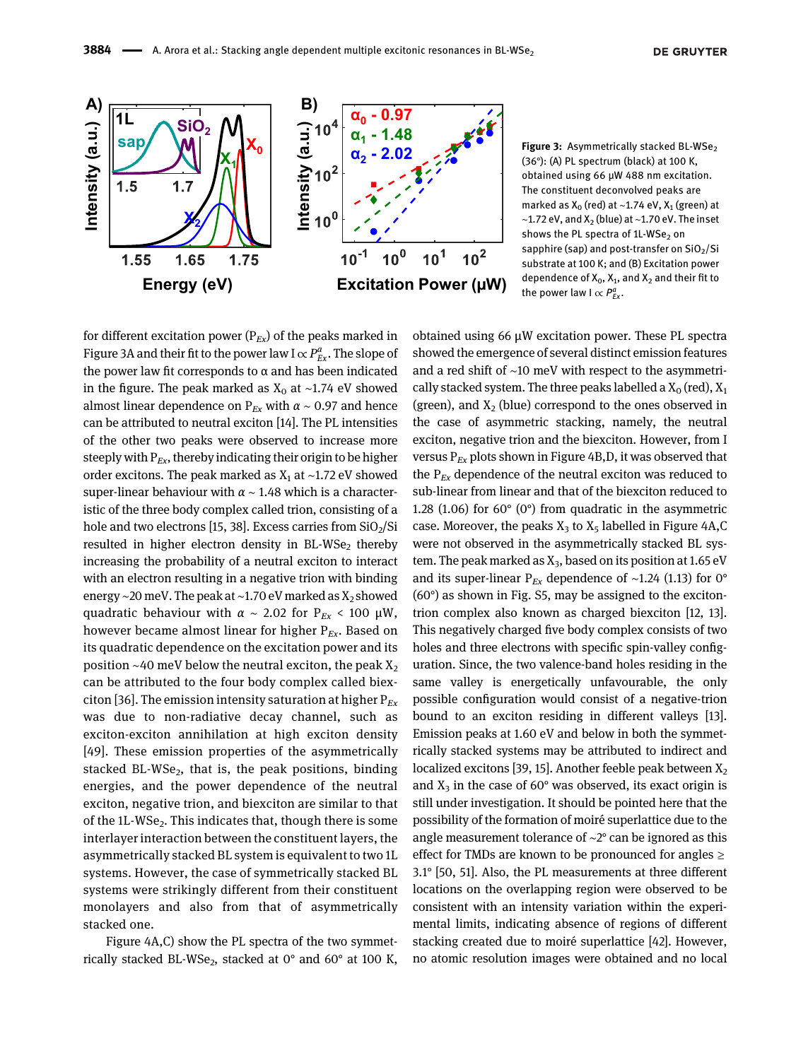

Figure 3: Asymmetrically stacked BL-WSe<sub>2</sub> (36°): (A) PL spectrum (black) at 100 K, obtained using 66 μW 488 nm excitation. The constituent deconvolved peaks are marked as  $X_0$  (red) at ~1.74 eV,  $X_1$  (green) at ~1.72 eV, and  $X_2$  (blue) at ~1.70 eV. The inset shows the PL spectra of  $1L$ -WSe<sub>2</sub> on sapphire (sap) and post-transfer on  $SiO<sub>2</sub>/Si$ substrate at 100 K; and (B) Excitation power dependence of  $X_0$ ,  $X_1$ , and  $X_2$  and their fit to the power law  $I \propto P_{Ex}^{a}$ .

for different excitation power ( $P_{Ex}$ ) of the peaks marked in Figure 3A and their fit to the power law I  $\propto P_{Ex}^a$ . The slope of the power law fit corresponds to  $α$  and has been indicated in the figure. The peak marked as  $X_0$  at ~1.74 eV showed almost linear dependence on  $P_{Ex}$  with  $\alpha \sim 0.97$  and hence can be attributed to neutral exciton [14]. The PL intensities of the other two peaks were observed to increase more steeply with  $P_{Ex}$ , thereby indicating their origin to be higher order excitons. The peak marked as  $X_1$  at ~1.72 eV showed super-linear behaviour with  $\alpha \sim 1.48$  which is a characteristic of the three body complex called trion, consisting of a hole and two electrons [15, 38]. Excess carries from  $SiO<sub>2</sub>/Si$ resulted in higher electron density in BL-WS ${\mathsf e}_2$  thereby increasing the probability of a neutral exciton to interact with an electron resulting in a negative trion with binding energy ∼20 meV. The peak at ~1.70 eV marked as X<sub>2</sub> showed quadratic behaviour with  $\alpha \sim 2.02$  for P<sub>Ex</sub> < 100 µW, however became almost linear for higher  $P_{Ex}$ . Based on its quadratic dependence on the excitation power and its position ~40 meV below the neutral exciton, the peak  $X_2$ can be attributed to the four body complex called biexciton [36]. The emission intensity saturation at higher  $P_{Ex}$ was due to non-radiative decay channel, such as exciton-exciton annihilation at high exciton density [49]. These emission properties of the asymmetrically stacked BL-WSe<sub>2</sub>, that is, the peak positions, binding energies, and the power dependence of the neutral exciton, negative trion, and biexciton are similar to that of the 1L-WSe $_{\rm 2}$ . This indicates that, though there is some interlayer interaction between the constituent layers, the asymmetrically stacked BL system is equivalent to two 1L systems. However, the case of symmetrically stacked BL systems were strikingly different from their constituent monolayers and also from that of asymmetrically stacked one.

Figure 4A,C) show the PL spectra of the two symmetrically stacked BL-WSe<sub>2</sub>, stacked at  $0^{\circ}$  and  $60^{\circ}$  at 100 K,

obtained using 66 μW excitation power. These PL spectra showed the emergence of several distinct emission features and a red shift of ∼10 meV with respect to the asymmetrically stacked system. The three peaks labelled a  $X_0$  (red),  $X_1$ (green), and  $X_2$  (blue) correspond to the ones observed in the case of asymmetric stacking, namely, the neutral exciton, negative trion and the biexciton. However, from I versus  $P_{Ex}$  plots shown in Figure 4B,D, it was observed that the  $P_{Ex}$  dependence of the neutral exciton was reduced to sub-linear from linear and that of the biexciton reduced to 1.28 (1.06) for 60° (0°) from quadratic in the asymmetric case. Moreover, the peaks  $X_3$  to  $X_5$  labelled in Figure 4A,C were not observed in the asymmetrically stacked BL system. The peak marked as  $X_3$ , based on its position at 1.65 eV and its super-linear P<sub>Ex</sub> dependence of ~1.24 (1.13) for 0°  $(60^{\circ})$  as shown in Fig. S5, may be assigned to the excitontrion complex also known as charged biexciton [12, 13]. This negatively charged five body complex consists of two holes and three electrons with specific spin-valley configuration. Since, the two valence-band holes residing in the same valley is energetically unfavourable, the only possible configuration would consist of a negative-trion bound to an exciton residing in different valleys [13]. Emission peaks at 1.60 eV and below in both the symmetrically stacked systems may be attributed to indirect and localized excitons [39, 15]. Another feeble peak between  $X_2$ and  $X_3$  in the case of 60 $^{\circ}$  was observed, its exact origin is still under investigation. It should be pointed here that the possibility of the formation of moiré superlattice due to the angle measurement tolerance of ∼2° can be ignored as this effect for TMDs are known to be pronounced for angles  $\geq$ 3.1° [50, 51]. Also, the PL measurements at three different locations on the overlapping region were observed to be consistent with an intensity variation within the experimental limits, indicating absence of regions of different stacking created due to moiré superlattice [42]. However, no atomic resolution images were obtained and no local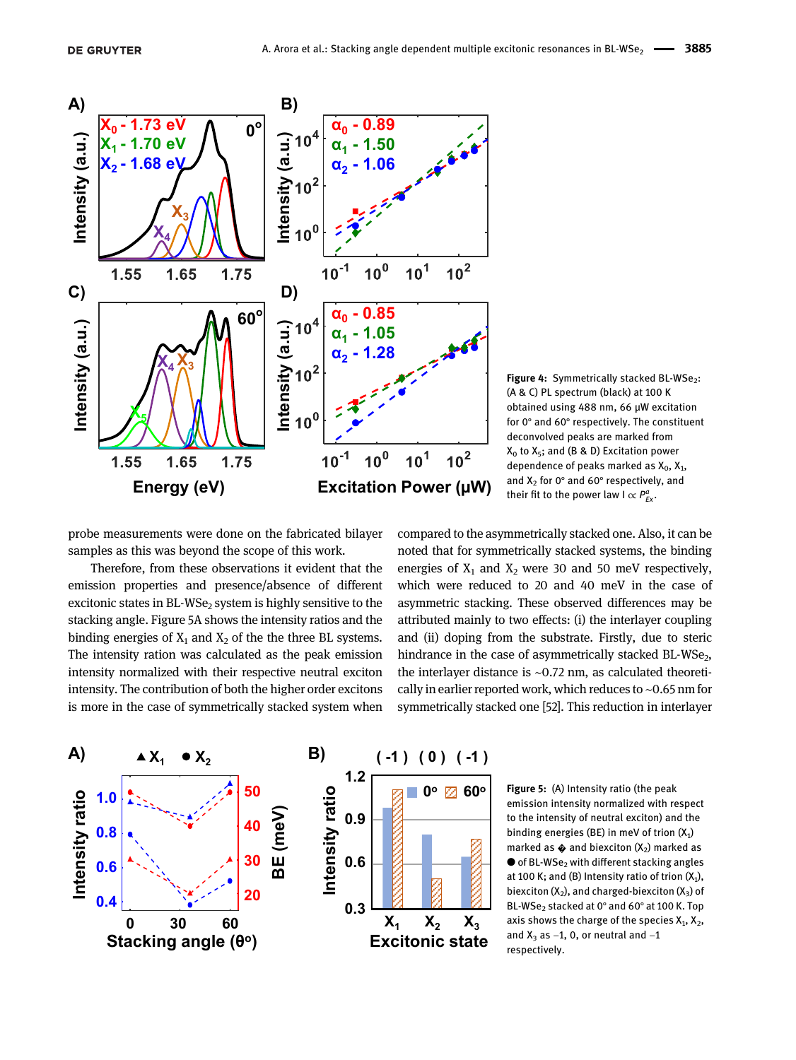

Figure 4: Symmetrically stacked BL-WSe<sub>2</sub>: (A & C) PL spectrum (black) at 100 K obtained using 488 nm, 66 μW excitation for 0° and 60° respectively. The constituent deconvolved peaks are marked from  $X_0$  to  $X_5$ ; and (B & D) Excitation power dependence of peaks marked as  $X_0$ ,  $X_1$ , and  $X_2$  for 0° and 60° respectively, and their fit to the power law  $I \propto P_{Ex}^{a}$ .

probe measurements were done on the fabricated bilayer samples as this was beyond the scope of this work.

Therefore, from these observations it evident that the emission properties and presence/absence of different excitonic states in BL-WSe $<sub>2</sub>$  system is highly sensitive to the</sub> stacking angle. Figure 5A shows the intensity ratios and the binding energies of  $X_1$  and  $X_2$  of the the three BL systems. The intensity ration was calculated as the peak emission intensity normalized with their respective neutral exciton intensity. The contribution of both the higher order excitons is more in the case of symmetrically stacked system when compared to the asymmetrically stacked one. Also, it can be noted that for symmetrically stacked systems, the binding energies of  $X_1$  and  $X_2$  were 30 and 50 meV respectively, which were reduced to 20 and 40 meV in the case of asymmetric stacking. These observed differences may be attributed mainly to two effects: (i) the interlayer coupling and (ii) doping from the substrate. Firstly, due to steric hindrance in the case of asymmetrically stacked  $BL\text{-}WSe_2,$ the interlayer distance is ∼0.72 nm, as calculated theoretically in earlier reported work, which reduces to ∼0.65 nm for symmetrically stacked one [52]. This reduction in interlayer



Figure 5: (A) Intensity ratio (the peak emission intensity normalized with respect to the intensity of neutral exciton) and the binding energies (BE) in meV of trion  $(X_1)$ marked as  $\triangle$  and biexciton (X<sub>2</sub>) marked as  $\bullet$  of BL-WSe<sub>2</sub> with different stacking angles at 100 K; and (B) Intensity ratio of trion  $(X_1)$ , biexciton  $(X_2)$ , and charged-biexciton  $(X_3)$  of BL-WSe<sub>2</sub> stacked at 0° and 60° at 100 K. Top axis shows the charge of the species  $X_1, X_2,$ and  $X_3$  as  $-1$ , 0, or neutral and  $-1$ respectively.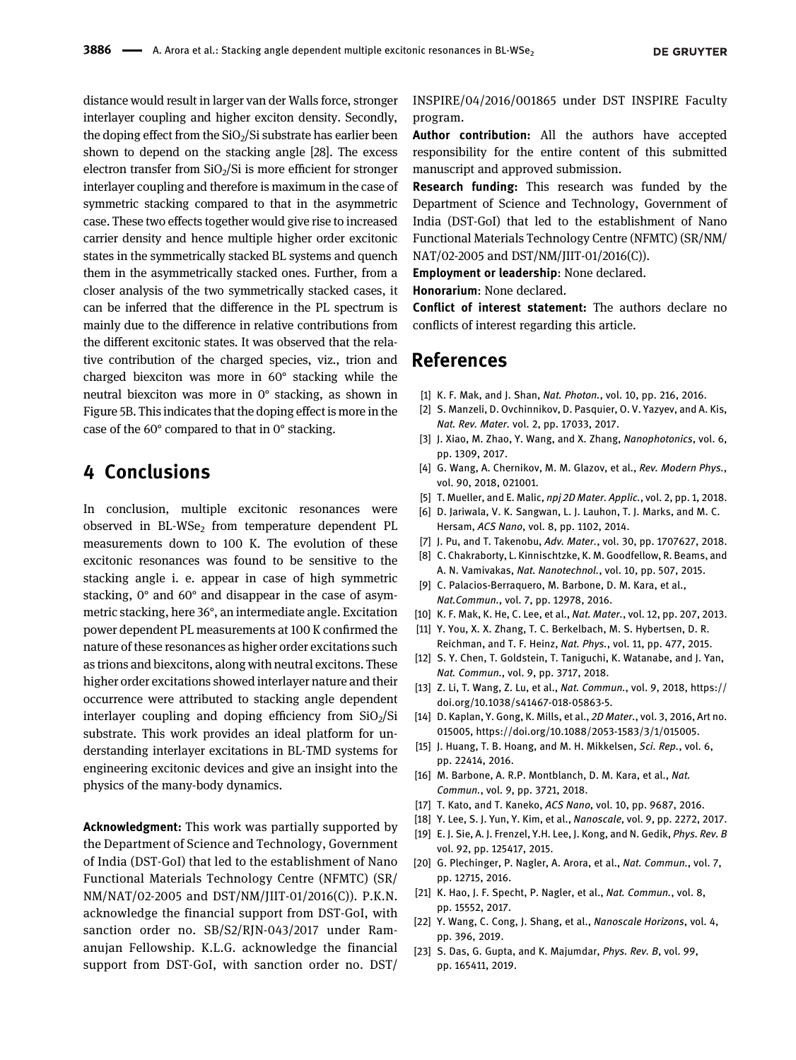distance would result in larger van der Walls force, stronger interlayer coupling and higher exciton density. Secondly, the doping effect from the  $SiO<sub>2</sub>/Si$  substrate has earlier been shown to depend on the stacking angle [28]. The excess electron transfer from  $SiO<sub>2</sub>/Si$  is more efficient for stronger interlayer coupling and therefore is maximum in the case of symmetric stacking compared to that in the asymmetric case. These two effects together would give rise to increased carrier density and hence multiple higher order excitonic states in the symmetrically stacked BL systems and quench them in the asymmetrically stacked ones. Further, from a closer analysis of the two symmetrically stacked cases, it can be inferred that the difference in the PL spectrum is mainly due to the difference in relative contributions from the different excitonic states. It was observed that the relative contribution of the charged species, viz., trion and charged biexciton was more in 60° stacking while the neutral biexciton was more in 0° stacking, as shown in Figure 5B. This indicates that the doping effect is more in the case of the 60° compared to that in 0° stacking.

## 4 Conclusions

In conclusion, multiple excitonic resonances were observed in BL-WSe $_2$  from temperature dependent PL measurements down to 100 K. The evolution of these excitonic resonances was found to be sensitive to the stacking angle i. e. appear in case of high symmetric stacking, 0° and 60° and disappear in the case of asymmetric stacking, here 36°, an intermediate angle. Excitation power dependent PL measurements at 100 K confirmed the nature of these resonances as higher order excitations such as trions and biexcitons, along with neutral excitons. These higher order excitations showed interlayer nature and their occurrence were attributed to stacking angle dependent interlayer coupling and doping efficiency from  $SiO<sub>2</sub>/Si$ substrate. This work provides an ideal platform for understanding interlayer excitations in BL-TMD systems for engineering excitonic devices and give an insight into the physics of the many-body dynamics.

Acknowledgment: This work was partially supported by the Department of Science and Technology, Government of India (DST-GoI) that led to the establishment of Nano Functional Materials Technology Centre (NFMTC) (SR/ NM/NAT/02-2005 and DST/NM/JIIT-01/2016(C)). P.K.N. acknowledge the financial support from DST-GoI, with sanction order no. SB/S2/RJN-043/2017 under Ramanujan Fellowship. K.L.G. acknowledge the financial support from DST-GoI, with sanction order no. DST/

INSPIRE/04/2016/001865 under DST INSPIRE Faculty program.

Author contribution: All the authors have accepted responsibility for the entire content of this submitted manuscript and approved submission.

Research funding: This research was funded by the Department of Science and Technology, Government of India (DST-GoI) that led to the establishment of Nano Functional Materials Technology Centre (NFMTC) (SR/NM/ NAT/02-2005 and DST/NM/JIIT-01/2016(C)).

Employment or leadership: None declared.

Honorarium: None declared.

Conflict of interest statement: The authors declare no conflicts of interest regarding this article.

#### References

- [1] K. F. Mak, and J. Shan, *Nat. Photon.*, vol. 10, pp. 216, 2016.
- [2] S. Manzeli, D. Ovchinnikov, D. Pasquier, O. V. Yazyev, and A. Kis, *Nat. Rev. Mater.* vol. 2, pp. 17033, 2017.
- [3] J. Xiao, M. Zhao, Y. Wang, and X. Zhang, *Nanophotonics*, vol. 6, pp. 1309, 2017.
- [4] G. Wang, A. Chernikov, M. M. Glazov, et al., *Rev. Modern Phys.*, vol. 90, 2018, 021001.
- [5] T. Mueller, and E. Malic, *npj 2D Mater. Applic.*, vol. 2, pp. 1, 2018.
- [6] D. Jariwala, V. K. Sangwan, L. J. Lauhon, T. J. Marks, and M. C. Hersam, *ACS Nano*, vol. 8, pp. 1102, 2014.
- [7] J. Pu, and T. Takenobu, *Adv. Mater.*, vol. 30, pp. 1707627, 2018.
- [8] C. Chakraborty, L. Kinnischtzke, K. M. Goodfellow, R. Beams, and A. N. Vamivakas, *Nat. Nanotechnol.*, vol. 10, pp. 507, 2015.
- [9] C. Palacios-Berraquero, M. Barbone, D. M. Kara, et al., *Nat.Commun.*, vol. 7, pp. 12978, 2016.
- [10] K. F. Mak, K. He, C. Lee, et al., *Nat. Mater.*, vol. 12, pp. 207, 2013.
- [11] Y. You, X. X. Zhang, T. C. Berkelbach, M. S. Hybertsen, D. R. Reichman, and T. F. Heinz, *Nat. Phys.*, vol. 11, pp. 477, 2015.
- [12] S. Y. Chen, T. Goldstein, T. Taniguchi, K. Watanabe, and J. Yan, *Nat. Commun.*, vol. 9, pp. 3717, 2018.
- [13] Z. Li, T. Wang, Z. Lu, et al., *Nat. Commun.*, vol. 9, 2018, https:// doi.org/10.1038/s41467-018-05863-5.
- [14] D. Kaplan, Y. Gong, K. Mills, et al., *2D Mater.*, vol. 3, 2016, Art no. 015005, https://doi.org/10.1088/2053-1583/3/1/015005.
- [15] J. Huang, T. B. Hoang, and M. H. Mikkelsen, *Sci. Rep.*, vol. 6, pp. 22414, 2016.
- [16] M. Barbone, A. R.P. Montblanch, D. M. Kara, et al., *Nat. Commun.*, vol. 9, pp. 3721, 2018.
- [17] T. Kato, and T. Kaneko, *ACS Nano*, vol. 10, pp. 9687, 2016.
- [18] Y. Lee, S. J. Yun, Y. Kim, et al., *Nanoscale*, vol. 9, pp. 2272, 2017.
- [19] E. J. Sie, A. J. Frenzel, Y.H. Lee, J. Kong, and N. Gedik, *Phys. Rev. B* vol. 92, pp. 125417, 2015.
- [20] G. Plechinger, P. Nagler, A. Arora, et al., *Nat. Commun.*, vol. 7, pp. 12715, 2016.
- [21] K. Hao, J. F. Specht, P. Nagler, et al., *Nat. Commun.*, vol. 8, pp. 15552, 2017.
- [22] Y. Wang, C. Cong, J. Shang, et al., *Nanoscale Horizons*, vol. 4, pp. 396, 2019.
- [23] S. Das, G. Gupta, and K. Majumdar, *Phys. Rev. B*, vol. 99, pp. 165411, 2019.